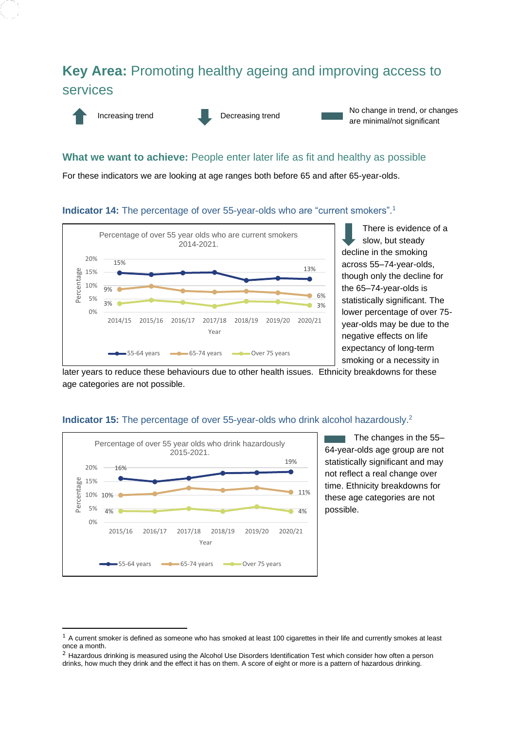# **Key Area:** Promoting healthy ageing and improving access to services



Increasing trend Decreasing trend No change in trend, or changes are minimal/not significant

# **What we want to achieve:** People enter later life as fit and healthy as possible

For these indicators we are looking at age ranges both before 65 and after 65-year-olds.

#### **Indicator 14:** The percentage of over 55-year-olds who are "current smokers". 1



There is evidence of a slow, but steady decline in the smoking across 55–74-year-olds, though only the decline for the 65–74-year-olds is statistically significant. The lower percentage of over 75 year-olds may be due to the negative effects on life expectancy of long-term smoking or a necessity in

later years to reduce these behaviours due to other health issues. Ethnicity breakdowns for these age categories are not possible.

**Indicator 15:** The percentage of over 55-year-olds who drink alcohol hazardously. 2

#### 16% 19% 10% 11% 11% 4% 4%  $\Omega%$ 5% 10% 15% 20% 2015/16 2016/17 2017/18 2018/19 2019/20 2020/21 Percentage Year Percentage of over 55 year olds who drink hazardously 2015-2021.  $-55-64$  years  $-65-74$  years  $-65-74$  years

The changes in the 55– 64-year-olds age group are not statistically significant and may not reflect a real change over time. Ethnicity breakdowns for these age categories are not possible.

 $1$  A current smoker is defined as someone who has smoked at least 100 cigarettes in their life and currently smokes at least once a month.

<sup>&</sup>lt;sup>2</sup> Hazardous drinking is measured using the Alcohol Use Disorders Identification Test which consider how often a person drinks, how much they drink and the effect it has on them. A score of eight or more is a pattern of hazardous drinking.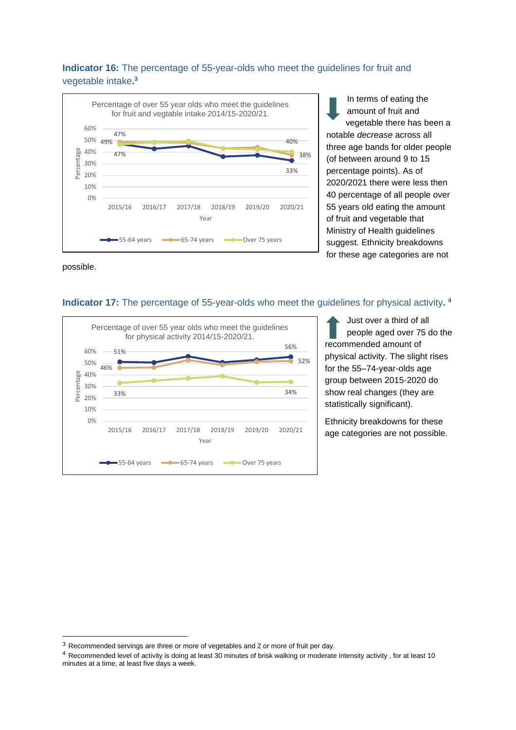# **Indicator 16:** The percentage of 55-year-olds who meet the guidelines for fruit and vegetable intake**. 3**



In terms of eating the amount of fruit and vegetable there has been a notable *decrease* across all three age bands for older people (of between around 9 to 15 percentage points). As of 2020/2021 there were less then 40 percentage of all people over 55 years old eating the amount of fruit and vegetable that Ministry of Health guidelines suggest. Ethnicity breakdowns for these age categories are not

possible.

#### **Indicator 17:** The percentage of 55-year-olds who meet the guidelines for physical activity**. 4**



Just over a third of all people aged over 75 do the recommended amount of physical activity. The slight rises for the 55–74-year-olds age group between 2015-2020 do show real changes (they are statistically significant).

Ethnicity breakdowns for these age categories are not possible.

<sup>&</sup>lt;sup>3</sup> Recommended servings are three or more of vegetables and 2 or more of fruit per day.

<sup>4</sup> Recommended level of activity is doing at least 30 minutes of brisk walking or moderate intensity activity , for at least 10 minutes at a time, at least five days a week.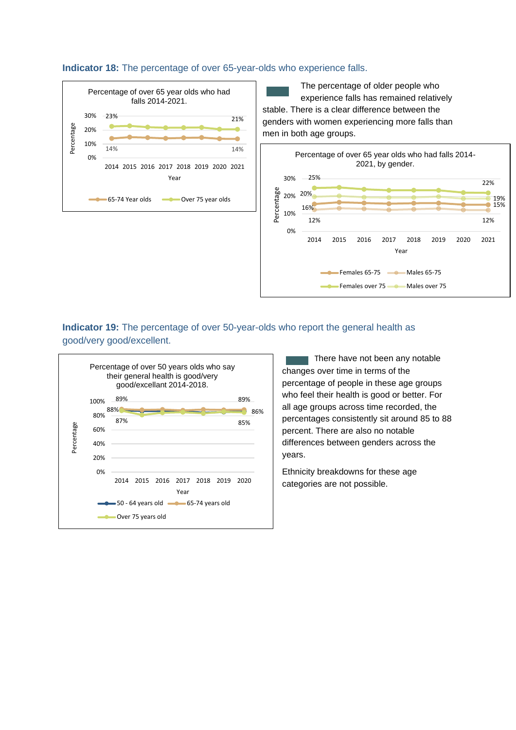#### **Indicator 18:** The percentage of over 65-year-olds who experience falls.



The percentage of older people who experience falls has remained relatively stable. There is a clear difference between the genders with women experiencing more falls than men in both age groups.



# **Indicator 19:** The percentage of over 50-year-olds who report the general health as good/very good/excellent.



There have not been any notable changes over time in terms of the percentage of people in these age groups who feel their health is good or better. For all age groups across time recorded, the percentages consistently sit around 85 to 88 percent. There are also no notable differences between genders across the years.

Ethnicity breakdowns for these age categories are not possible.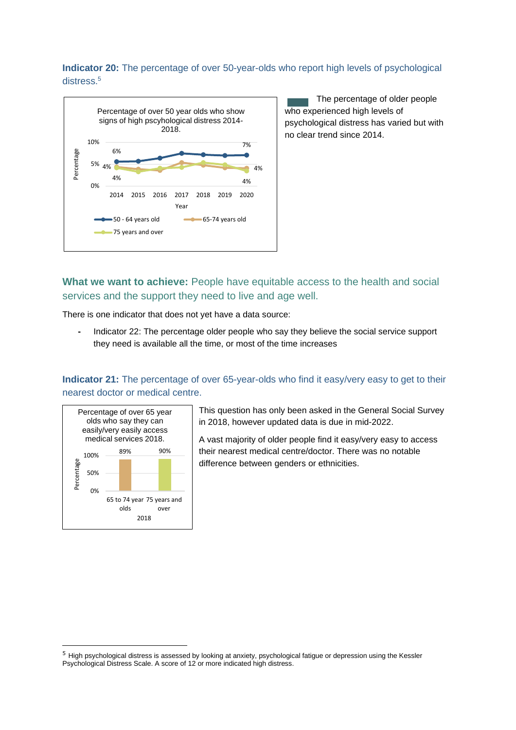## **Indicator 20:** The percentage of over 50-year-olds who report high levels of psychological distress.<sup>5</sup>



The percentage of older people who experienced high levels of psychological distress has varied but with no clear trend since 2014.

# **What we want to achieve:** People have equitable access to the health and social services and the support they need to live and age well.

There is one indicator that does not yet have a data source:

**-** Indicator 22: The percentage older people who say they believe the social service support they need is available all the time, or most of the time increases

# **Indicator 21:** The percentage of over 65-year-olds who find it easy/very easy to get to their nearest doctor or medical centre.



This question has only been asked in the General Social Survey in 2018, however updated data is due in mid-2022.

A vast majority of older people find it easy/very easy to access their nearest medical centre/doctor. There was no notable difference between genders or ethnicities.

<sup>&</sup>lt;sup>5</sup> High psychological distress is assessed by looking at anxiety, psychological fatigue or depression using the Kessler Psychological Distress Scale. A score of 12 or more indicated high distress.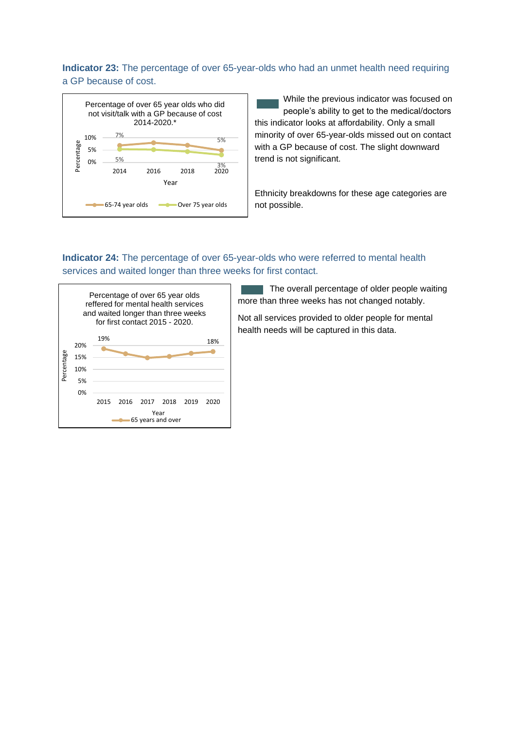# **Indicator 23:** The percentage of over 65-year-olds who had an unmet health need requiring a GP because of cost.



While the previous indicator was focused on people's ability to get to the medical/doctors this indicator looks at affordability. Only a small minority of over 65-year-olds missed out on contact with a GP because of cost. The slight downward trend is not significant.

Ethnicity breakdowns for these age categories are not possible.

# **Indicator 24:** The percentage of over 65-year-olds who were referred to mental health services and waited longer than three weeks for first contact.



The overall percentage of older people waiting more than three weeks has not changed notably.

Not all services provided to older people for mental health needs will be captured in this data.